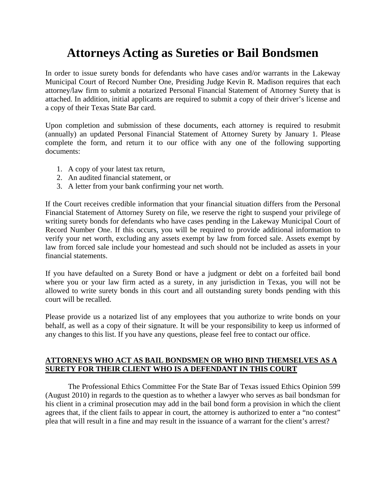# **Attorneys Acting as Sureties or Bail Bondsmen**

In order to issue surety bonds for defendants who have cases and/or warrants in the Lakeway Municipal Court of Record Number One, Presiding Judge Kevin R. Madison requires that each attorney/law firm to submit a notarized Personal Financial Statement of Attorney Surety that is attached. In addition, initial applicants are required to submit a copy of their driver's license and a copy of their Texas State Bar card.

Upon completion and submission of these documents, each attorney is required to resubmit (annually) an updated Personal Financial Statement of Attorney Surety by January 1. Please complete the form, and return it to our office with any one of the following supporting documents:

- 1. A copy of your latest tax return,
- 2. An audited financial statement, or
- 3. A letter from your bank confirming your net worth.

If the Court receives credible information that your financial situation differs from the Personal Financial Statement of Attorney Surety on file, we reserve the right to suspend your privilege of writing surety bonds for defendants who have cases pending in the Lakeway Municipal Court of Record Number One. If this occurs, you will be required to provide additional information to verify your net worth, excluding any assets exempt by law from forced sale. Assets exempt by law from forced sale include your homestead and such should not be included as assets in your financial statements.

If you have defaulted on a Surety Bond or have a judgment or debt on a forfeited bail bond where you or your law firm acted as a surety, in any jurisdiction in Texas, you will not be allowed to write surety bonds in this court and all outstanding surety bonds pending with this court will be recalled.

Please provide us a notarized list of any employees that you authorize to write bonds on your behalf, as well as a copy of their signature. It will be your responsibility to keep us informed of any changes to this list. If you have any questions, please feel free to contact our office.

#### **ATTORNEYS WHO ACT AS BAIL BONDSMEN OR WHO BIND THEMSELVES AS A SURETY FOR THEIR CLIENT WHO IS A DEFENDANT IN THIS COURT**

 The Professional Ethics Committee For the State Bar of Texas issued Ethics Opinion 599 (August 2010) in regards to the question as to whether a lawyer who serves as bail bondsman for his client in a criminal prosecution may add in the bail bond form a provision in which the client agrees that, if the client fails to appear in court, the attorney is authorized to enter a "no contest" plea that will result in a fine and may result in the issuance of a warrant for the client's arrest?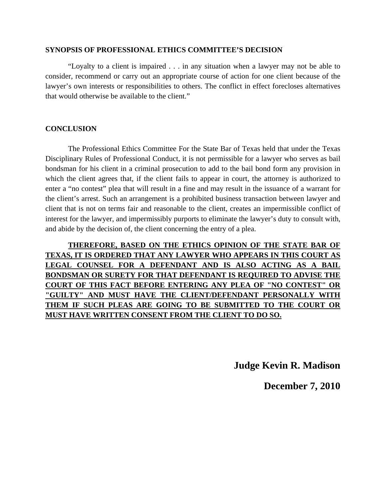#### **SYNOPSIS OF PROFESSIONAL ETHICS COMMITTEE'S DECISION**

 "Loyalty to a client is impaired . . . in any situation when a lawyer may not be able to consider, recommend or carry out an appropriate course of action for one client because of the lawyer's own interests or responsibilities to others. The conflict in effect forecloses alternatives that would otherwise be available to the client."

#### **CONCLUSION**

 The Professional Ethics Committee For the State Bar of Texas held that under the Texas Disciplinary Rules of Professional Conduct, it is not permissible for a lawyer who serves as bail bondsman for his client in a criminal prosecution to add to the bail bond form any provision in which the client agrees that, if the client fails to appear in court, the attorney is authorized to enter a "no contest" plea that will result in a fine and may result in the issuance of a warrant for the client's arrest. Such an arrangement is a prohibited business transaction between lawyer and client that is not on terms fair and reasonable to the client, creates an impermissible conflict of interest for the lawyer, and impermissibly purports to eliminate the lawyer's duty to consult with, and abide by the decision of, the client concerning the entry of a plea.

 **THEREFORE, BASED ON THE ETHICS OPINION OF THE STATE BAR OF TEXAS, IT IS ORDERED THAT ANY LAWYER WHO APPEARS IN THIS COURT AS LEGAL COUNSEL FOR A DEFENDANT AND IS ALSO ACTING AS A BAIL BONDSMAN OR SURETY FOR THAT DEFENDANT IS REQUIRED TO ADVISE THE COURT OF THIS FACT BEFORE ENTERING ANY PLEA OF "NO CONTEST" OR "GUILTY" AND MUST HAVE THE CLIENT/DEFENDANT PERSONALLY WITH THEM IF SUCH PLEAS ARE GOING TO BE SUBMITTED TO THE COURT OR MUST HAVE WRITTEN CONSENT FROM THE CLIENT TO DO SO.**

**Judge Kevin R. Madison**

**December 7, 2010**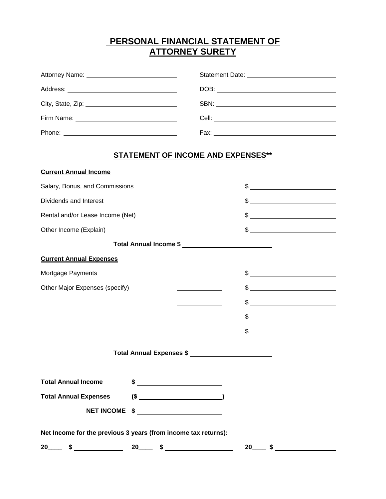# **PERSONAL FINANCIAL STATEMENT OF ATTORNEY SURETY**

|                                           | DOB: |  |  |  |
|-------------------------------------------|------|--|--|--|
|                                           |      |  |  |  |
|                                           |      |  |  |  |
|                                           |      |  |  |  |
| <b>STATEMENT OF INCOME AND EXPENSES**</b> |      |  |  |  |

**Current Annual Income**

| Salary, Bonus, and Commissions                                 |          |                        | \$            |  |  |
|----------------------------------------------------------------|----------|------------------------|---------------|--|--|
| Dividends and Interest                                         |          |                        |               |  |  |
| Rental and/or Lease Income (Net)                               |          |                        |               |  |  |
| Other Income (Explain)                                         |          |                        |               |  |  |
|                                                                |          | Total Annual Income \$ |               |  |  |
| <b>Current Annual Expenses</b>                                 |          |                        |               |  |  |
| Mortgage Payments                                              |          |                        | $\frac{1}{2}$ |  |  |
| Other Major Expenses (specify)                                 |          |                        |               |  |  |
|                                                                |          |                        | $\frac{1}{2}$ |  |  |
|                                                                |          |                        | $$$ $$$       |  |  |
|                                                                |          |                        | $\frac{1}{2}$ |  |  |
|                                                                |          |                        |               |  |  |
| <b>Total Annual Income</b>                                     |          |                        |               |  |  |
| <b>Total Annual Expenses</b>                                   |          |                        |               |  |  |
| <b>NET INCOME</b>                                              |          |                        |               |  |  |
| Net Income for the previous 3 years (from income tax returns): |          |                        |               |  |  |
| 20<br>\$                                                       | 20<br>\$ |                        | 20<br>\$      |  |  |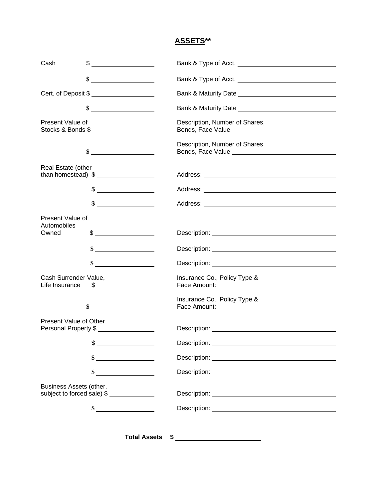## **ASSETS\*\***

| Cash                                    | \$                                                                                                                                                                                                                                                                                                                                                                  | Bank & Type of Acct.                                                |
|-----------------------------------------|---------------------------------------------------------------------------------------------------------------------------------------------------------------------------------------------------------------------------------------------------------------------------------------------------------------------------------------------------------------------|---------------------------------------------------------------------|
|                                         |                                                                                                                                                                                                                                                                                                                                                                     |                                                                     |
|                                         | Cert. of Deposit \$                                                                                                                                                                                                                                                                                                                                                 |                                                                     |
|                                         | $\frac{1}{2}$ $\frac{1}{2}$ $\frac{1}{2}$ $\frac{1}{2}$ $\frac{1}{2}$ $\frac{1}{2}$ $\frac{1}{2}$ $\frac{1}{2}$ $\frac{1}{2}$ $\frac{1}{2}$ $\frac{1}{2}$ $\frac{1}{2}$ $\frac{1}{2}$ $\frac{1}{2}$ $\frac{1}{2}$ $\frac{1}{2}$ $\frac{1}{2}$ $\frac{1}{2}$ $\frac{1}{2}$ $\frac{1}{2}$ $\frac{1}{2}$ $\frac{1}{2}$                                                 |                                                                     |
| Present Value of                        | Stocks & Bonds \$                                                                                                                                                                                                                                                                                                                                                   | Description, Number of Shares,                                      |
|                                         | $\sim$                                                                                                                                                                                                                                                                                                                                                              | Description, Number of Shares,                                      |
| Real Estate (other                      | than homestead) $\frac{1}{2}$                                                                                                                                                                                                                                                                                                                                       |                                                                     |
|                                         | $\frac{1}{2}$                                                                                                                                                                                                                                                                                                                                                       |                                                                     |
|                                         | $\begin{picture}(20,20) \put(0,0){\vector(1,0){100}} \put(15,0){\vector(1,0){100}} \put(15,0){\vector(1,0){100}} \put(15,0){\vector(1,0){100}} \put(15,0){\vector(1,0){100}} \put(15,0){\vector(1,0){100}} \put(15,0){\vector(1,0){100}} \put(15,0){\vector(1,0){100}} \put(15,0){\vector(1,0){100}} \put(15,0){\vector(1,0){100}} \put(15,0){\vector(1,0){100}} \$ |                                                                     |
| Present Value of<br>Automobiles         |                                                                                                                                                                                                                                                                                                                                                                     |                                                                     |
| Owned                                   | $\begin{array}{c} \updownarrow \\ \downarrow \end{array}$                                                                                                                                                                                                                                                                                                           |                                                                     |
|                                         | $\frac{1}{2}$                                                                                                                                                                                                                                                                                                                                                       |                                                                     |
|                                         | <u> a shekara ta 1999 a shekara ta 1999 a shekara ta 1999 a shekara ta 1999 a shekara ta 1999 a shekara ta 1999 a</u><br>\$                                                                                                                                                                                                                                         | Description: <u>www.community.community.community.community.com</u> |
| Cash Surrender Value,<br>Life Insurance | $\frac{1}{2}$                                                                                                                                                                                                                                                                                                                                                       | Insurance Co., Policy Type &                                        |
|                                         | \$                                                                                                                                                                                                                                                                                                                                                                  | Insurance Co., Policy Type &                                        |
| Present Value of Other                  | Personal Property \$                                                                                                                                                                                                                                                                                                                                                |                                                                     |
|                                         | \$                                                                                                                                                                                                                                                                                                                                                                  |                                                                     |
|                                         | \$<br><u> The Community of the Community of the Community of the Community of the Community of the Community of the Community of the Community of the Community of the Community of the Community of the Community of the Community of</u>                                                                                                                          |                                                                     |
|                                         | \$                                                                                                                                                                                                                                                                                                                                                                  |                                                                     |
| Business Assets (other,                 | subject to forced sale) \$                                                                                                                                                                                                                                                                                                                                          |                                                                     |
|                                         | $\frac{\text{S}}{\text{S}}$                                                                                                                                                                                                                                                                                                                                         |                                                                     |
|                                         |                                                                                                                                                                                                                                                                                                                                                                     |                                                                     |

**Total Assets \$**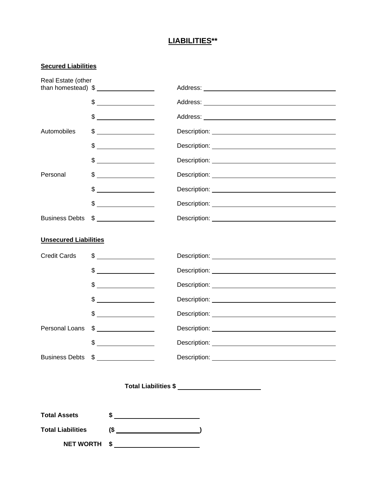## **LIABILITIES\*\***

## **Secured Liabilities**

| Real Estate (other           | than homestead) $\frac{1}{2}$                                                                                                                                                                                                                                                                                                                                       |  |  |  |
|------------------------------|---------------------------------------------------------------------------------------------------------------------------------------------------------------------------------------------------------------------------------------------------------------------------------------------------------------------------------------------------------------------|--|--|--|
|                              | $\frac{1}{2}$                                                                                                                                                                                                                                                                                                                                                       |  |  |  |
|                              | $\begin{picture}(20,20) \put(0,0){\vector(1,0){100}} \put(15,0){\vector(1,0){100}} \put(15,0){\vector(1,0){100}} \put(15,0){\vector(1,0){100}} \put(15,0){\vector(1,0){100}} \put(15,0){\vector(1,0){100}} \put(15,0){\vector(1,0){100}} \put(15,0){\vector(1,0){100}} \put(15,0){\vector(1,0){100}} \put(15,0){\vector(1,0){100}} \put(15,0){\vector(1,0){100}} \$ |  |  |  |
| Automobiles                  | $\frac{1}{2}$                                                                                                                                                                                                                                                                                                                                                       |  |  |  |
|                              | $\begin{picture}(20,20) \put(0,0){\line(1,0){10}} \put(15,0){\line(1,0){10}} \put(15,0){\line(1,0){10}} \put(15,0){\line(1,0){10}} \put(15,0){\line(1,0){10}} \put(15,0){\line(1,0){10}} \put(15,0){\line(1,0){10}} \put(15,0){\line(1,0){10}} \put(15,0){\line(1,0){10}} \put(15,0){\line(1,0){10}} \put(15,0){\line(1,0){10}} \put(15,0){\line(1$                 |  |  |  |
|                              | $\begin{picture}(20,20) \put(0,0){\vector(1,0){100}} \put(15,0){\vector(1,0){100}} \put(15,0){\vector(1,0){100}} \put(15,0){\vector(1,0){100}} \put(15,0){\vector(1,0){100}} \put(15,0){\vector(1,0){100}} \put(15,0){\vector(1,0){100}} \put(15,0){\vector(1,0){100}} \put(15,0){\vector(1,0){100}} \put(15,0){\vector(1,0){100}} \put(15,0){\vector(1,0){100}} \$ |  |  |  |
| Personal                     |                                                                                                                                                                                                                                                                                                                                                                     |  |  |  |
|                              | $\begin{picture}(20,20) \put(0,0){\vector(1,0){100}} \put(15,0){\vector(1,0){100}} \put(15,0){\vector(1,0){100}} \put(15,0){\vector(1,0){100}} \put(15,0){\vector(1,0){100}} \put(15,0){\vector(1,0){100}} \put(15,0){\vector(1,0){100}} \put(15,0){\vector(1,0){100}} \put(15,0){\vector(1,0){100}} \put(15,0){\vector(1,0){100}} \put(15,0){\vector(1,0){100}} \$ |  |  |  |
|                              | $\frac{1}{2}$                                                                                                                                                                                                                                                                                                                                                       |  |  |  |
| <b>Business Debts</b>        | $\frac{1}{2}$                                                                                                                                                                                                                                                                                                                                                       |  |  |  |
| <b>Unsecured Liabilities</b> |                                                                                                                                                                                                                                                                                                                                                                     |  |  |  |
| <b>Credit Cards</b>          | $\frac{1}{2}$                                                                                                                                                                                                                                                                                                                                                       |  |  |  |
|                              | $\frac{1}{2}$                                                                                                                                                                                                                                                                                                                                                       |  |  |  |
|                              | $\frac{1}{2}$                                                                                                                                                                                                                                                                                                                                                       |  |  |  |
|                              | $\frac{1}{2}$                                                                                                                                                                                                                                                                                                                                                       |  |  |  |
|                              | $\frac{1}{2}$                                                                                                                                                                                                                                                                                                                                                       |  |  |  |
| <b>Personal Loans</b>        | $\frac{1}{2}$                                                                                                                                                                                                                                                                                                                                                       |  |  |  |
|                              | \$<br><u> 1980 - Jan Stein Stein Stein Stein Stein Stein Stein Stein Stein Stein Stein Stein Stein Stein Stein Stein S</u>                                                                                                                                                                                                                                          |  |  |  |
|                              | Business Debts \$                                                                                                                                                                                                                                                                                                                                                   |  |  |  |
|                              |                                                                                                                                                                                                                                                                                                                                                                     |  |  |  |
| <b>Total Assets</b>          | $\frac{1}{2}$                                                                                                                                                                                                                                                                                                                                                       |  |  |  |
| <b>Total Liabilities</b>     |                                                                                                                                                                                                                                                                                                                                                                     |  |  |  |
| <b>NET WORTH</b>             | $\frac{1}{2}$                                                                                                                                                                                                                                                                                                                                                       |  |  |  |